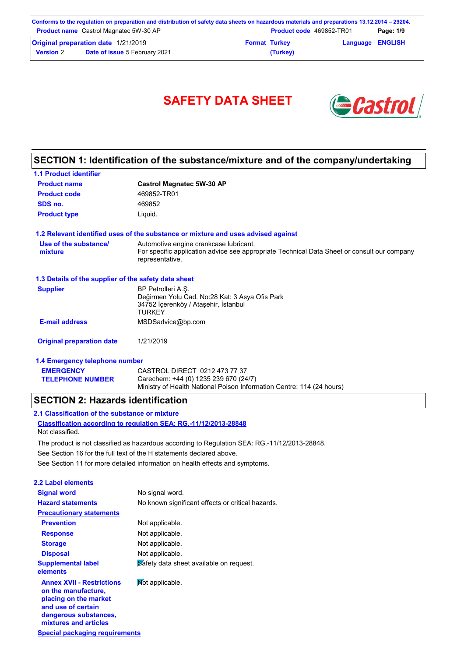| Conforms to the regulation on preparation and distribution of safety data sheets on hazardous materials and preparations 13.12.2014 – 29204. |                                               |                      |                                 |                         |           |
|----------------------------------------------------------------------------------------------------------------------------------------------|-----------------------------------------------|----------------------|---------------------------------|-------------------------|-----------|
|                                                                                                                                              | <b>Product name</b> Castrol Magnatec 5W-30 AP |                      | <b>Product code</b> 469852-TR01 |                         | Page: 1/9 |
| <b>Original preparation date 1/21/2019</b>                                                                                                   |                                               | <b>Format Turkey</b> |                                 | <b>Language ENGLISH</b> |           |
| <b>Version 2</b>                                                                                                                             | <b>Date of issue 5 February 2021</b>          |                      | (Turkey)                        |                         |           |



# **SECTION 1: Identification of the substance/mixture and of the company/undertaking**

| <b>1.1 Product identifier</b>                        |                                                                                                                               |
|------------------------------------------------------|-------------------------------------------------------------------------------------------------------------------------------|
| <b>Product name</b>                                  | <b>Castrol Magnatec 5W-30 AP</b>                                                                                              |
| <b>Product code</b>                                  | 469852-TR01                                                                                                                   |
| SDS no.                                              | 469852                                                                                                                        |
| <b>Product type</b>                                  | Liquid.                                                                                                                       |
|                                                      | 1.2 Relevant identified uses of the substance or mixture and uses advised against                                             |
| Use of the substance/                                | Automotive engine crankcase lubricant.                                                                                        |
| mixture                                              | For specific application advice see appropriate Technical Data Sheet or consult our company<br>representative.                |
| 1.3 Details of the supplier of the safety data sheet |                                                                                                                               |
| <b>Supplier</b>                                      | BP Petrolleri A.S.<br>Değirmen Yolu Cad. No:28 Kat: 3 Asya Ofis Park<br>34752 İçerenköy / Ataşehir, İstanbul<br><b>TURKEY</b> |
| <b>E-mail address</b>                                | MSDSadvice@bp.com                                                                                                             |
| <b>Original preparation date</b>                     | 1/21/2019                                                                                                                     |
| 1.4 Emergency telephone number                       |                                                                                                                               |
| <b>EMERGENCY</b>                                     | CASTROL DIRECT 0212 473 77 37                                                                                                 |
| <b>TELEPHONE NUMBER</b>                              | Carechem: +44 (0) 1235 239 670 (24/7)                                                                                         |

Ministry of Health National Poison Information Centre: 114 (24 hours)

### **SECTION 2: Hazards identification**

**Classification according to regulation SEA: RG.-11/12/2013-28848 2.1 Classification of the substance or mixture** Not classified.

The product is not classified as hazardous according to Regulation SEA: RG.-11/12/2013-28848.

See Section 16 for the full text of the H statements declared above.

See Section 11 for more detailed information on health effects and symptoms.

| 2.2 Label elements                                                                                                                                       |                                                   |
|----------------------------------------------------------------------------------------------------------------------------------------------------------|---------------------------------------------------|
| <b>Signal word</b>                                                                                                                                       | No signal word.                                   |
| <b>Hazard statements</b>                                                                                                                                 | No known significant effects or critical hazards. |
| <b>Precautionary statements</b>                                                                                                                          |                                                   |
| <b>Prevention</b>                                                                                                                                        | Not applicable.                                   |
| <b>Response</b>                                                                                                                                          | Not applicable.                                   |
| <b>Storage</b>                                                                                                                                           | Not applicable.                                   |
| <b>Disposal</b>                                                                                                                                          | Not applicable.                                   |
| <b>Supplemental label</b><br>elements                                                                                                                    | Safety data sheet available on request.           |
| <b>Annex XVII - Restrictions</b><br>on the manufacture,<br>placing on the market<br>and use of certain<br>dangerous substances,<br>mixtures and articles | Mot applicable.                                   |

**Special packaging requirements**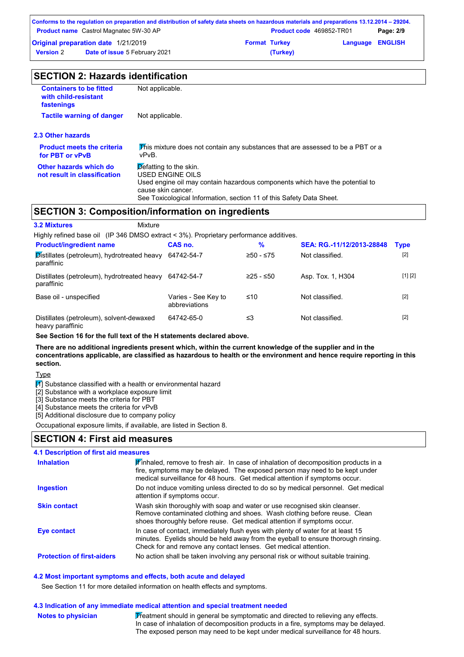|                                     | Conforms to the regulation on preparation and distribution of safety data sheets on hazardous materials and preparations 13.12.2014 – 29204. |                      |                                 |                         |           |
|-------------------------------------|----------------------------------------------------------------------------------------------------------------------------------------------|----------------------|---------------------------------|-------------------------|-----------|
|                                     | <b>Product name</b> Castrol Magnatec 5W-30 AP                                                                                                |                      | <b>Product code</b> 469852-TR01 |                         | Page: 2/9 |
| Original preparation date 1/21/2019 |                                                                                                                                              | <b>Format Turkey</b> |                                 | <b>Language ENGLISH</b> |           |
| <b>Version</b> 2                    | <b>Date of issue 5 February 2021</b>                                                                                                         |                      | (Turkey)                        |                         |           |

| <b>SECTION 2: Hazards identification</b> |  |
|------------------------------------------|--|
|------------------------------------------|--|

| <b>Containers to be fitted</b><br>with child-resistant<br>fastenings | Not applicable.                                                                                                                                                                                                          |  |  |  |
|----------------------------------------------------------------------|--------------------------------------------------------------------------------------------------------------------------------------------------------------------------------------------------------------------------|--|--|--|
| <b>Tactile warning of danger</b>                                     | Not applicable.                                                                                                                                                                                                          |  |  |  |
| 2.3 Other hazards                                                    |                                                                                                                                                                                                                          |  |  |  |
| <b>Product meets the criteria</b><br>for PBT or vPvB                 | This mixture does not contain any substances that are assessed to be a PBT or a<br>vPvB.                                                                                                                                 |  |  |  |
| Other hazards which do<br>not result in classification               | Defatting to the skin.<br>USED ENGINE OILS<br>Used engine oil may contain hazardous components which have the potential to<br>cause skin cancer.<br>See Toxicological Information, section 11 of this Safety Data Sheet. |  |  |  |
|                                                                      | <b>SECTION 3: Composition/information on ingredients</b>                                                                                                                                                                 |  |  |  |
| <b>3.2 Mixtures</b>                                                  | Mixture                                                                                                                                                                                                                  |  |  |  |
|                                                                      | Highly refined base oil (IP 346 DMSO extract < 3%). Proprietary performance additives.                                                                                                                                   |  |  |  |

| <b>Product/ingredient name</b>                               | CAS no.                              | %           | SEA: RG.-11/12/2013-28848 | <b>Type</b> |
|--------------------------------------------------------------|--------------------------------------|-------------|---------------------------|-------------|
| Distillates (petroleum), hydrotreated heavy<br>paraffinic    | 64742-54-7                           | $≥50 - ≤75$ | Not classified.           | $[2]$       |
| Distillates (petroleum), hydrotreated heavy<br>paraffinic    | 64742-54-7                           | $≥25 - ≤50$ | Asp. Tox. 1, H304         | [1] [2]     |
| Base oil - unspecified                                       | Varies - See Key to<br>abbreviations | ≤10         | Not classified.           | $[2]$       |
| Distillates (petroleum), solvent-dewaxed<br>heavy paraffinic | 64742-65-0                           | ≤3          | Not classified.           | $[2]$       |

**See Section 16 for the full text of the H statements declared above.**

**There are no additional ingredients present which, within the current knowledge of the supplier and in the concentrations applicable, are classified as hazardous to health or the environment and hence require reporting in this section.**

**Type** 

 $\boxed{1}$  Substance classified with a health or environmental hazard

[2] Substance with a workplace exposure limit

[3] Substance meets the criteria for PBT

**Notes to physician**

[4] Substance meets the criteria for vPvB

[5] Additional disclosure due to company policy

Occupational exposure limits, if available, are listed in Section 8.

### **SECTION 4: First aid measures**

| <b>4.1 Description of first aid measures</b> |                                                                                                                                                                                                                                                   |
|----------------------------------------------|---------------------------------------------------------------------------------------------------------------------------------------------------------------------------------------------------------------------------------------------------|
| <b>Inhalation</b>                            | Finhaled, remove to fresh air. In case of inhalation of decomposition products in a<br>fire, symptoms may be delayed. The exposed person may need to be kept under<br>medical surveillance for 48 hours. Get medical attention if symptoms occur. |
| <b>Ingestion</b>                             | Do not induce vomiting unless directed to do so by medical personnel. Get medical<br>attention if symptoms occur.                                                                                                                                 |
| <b>Skin contact</b>                          | Wash skin thoroughly with soap and water or use recognised skin cleanser.<br>Remove contaminated clothing and shoes. Wash clothing before reuse. Clean<br>shoes thoroughly before reuse. Get medical attention if symptoms occur.                 |
| Eye contact                                  | In case of contact, immediately flush eyes with plenty of water for at least 15<br>minutes. Eyelids should be held away from the eyeball to ensure thorough rinsing.<br>Check for and remove any contact lenses. Get medical attention.           |
| <b>Protection of first-aiders</b>            | No action shall be taken involving any personal risk or without suitable training.                                                                                                                                                                |

#### **4.2 Most important symptoms and effects, both acute and delayed**

See Section 11 for more detailed information on health effects and symptoms.

#### **4.3 Indication of any immediate medical attention and special treatment needed**

Treatment should in general be symptomatic and directed to relieving any effects. In case of inhalation of decomposition products in a fire, symptoms may be delayed. The exposed person may need to be kept under medical surveillance for 48 hours.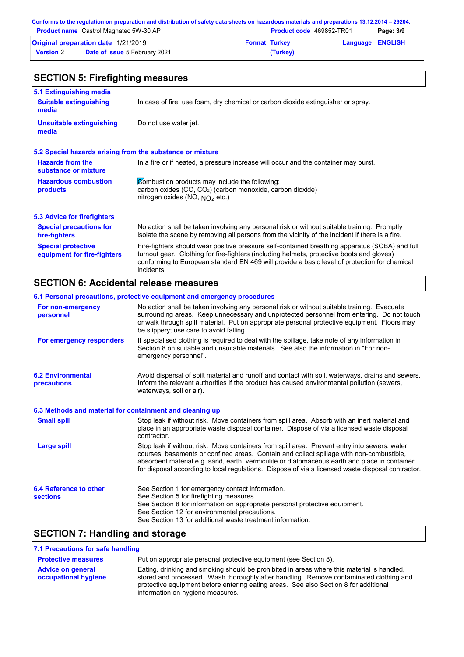|                  | Conforms to the regulation on preparation and distribution of safety data sheets on hazardous materials and preparations 13.12.2014 – 29204. |                      |                                 |                         |           |
|------------------|----------------------------------------------------------------------------------------------------------------------------------------------|----------------------|---------------------------------|-------------------------|-----------|
|                  | <b>Product name</b> Castrol Magnatec 5W-30 AP                                                                                                |                      | <b>Product code</b> 469852-TR01 |                         | Page: 3/9 |
|                  | Original preparation date 1/21/2019                                                                                                          | <b>Format Turkey</b> |                                 | <b>Language ENGLISH</b> |           |
| <b>Version 2</b> | <b>Date of issue 5 February 2021</b>                                                                                                         |                      | (Turkey)                        |                         |           |

| <b>SECTION 5: Firefighting measures</b>                   |                                                                                                                                                                                                                                                                                                           |  |  |  |
|-----------------------------------------------------------|-----------------------------------------------------------------------------------------------------------------------------------------------------------------------------------------------------------------------------------------------------------------------------------------------------------|--|--|--|
| 5.1 Extinguishing media                                   |                                                                                                                                                                                                                                                                                                           |  |  |  |
| <b>Suitable extinguishing</b><br>media                    | In case of fire, use foam, dry chemical or carbon dioxide extinguisher or spray.                                                                                                                                                                                                                          |  |  |  |
| <b>Unsuitable extinguishing</b><br>media                  | Do not use water jet.                                                                                                                                                                                                                                                                                     |  |  |  |
| 5.2 Special hazards arising from the substance or mixture |                                                                                                                                                                                                                                                                                                           |  |  |  |
| <b>Hazards from the</b><br>substance or mixture           | In a fire or if heated, a pressure increase will occur and the container may burst.                                                                                                                                                                                                                       |  |  |  |
| <b>Hazardous combustion</b><br>products                   | Combustion products may include the following:<br>carbon oxides (CO, CO <sub>2</sub> ) (carbon monoxide, carbon dioxide)<br>nitrogen oxides (NO, $NQ_2$ etc.)                                                                                                                                             |  |  |  |
| 5.3 Advice for firefighters                               |                                                                                                                                                                                                                                                                                                           |  |  |  |
| <b>Special precautions for</b><br>fire-fighters           | No action shall be taken involving any personal risk or without suitable training. Promptly<br>isolate the scene by removing all persons from the vicinity of the incident if there is a fire.                                                                                                            |  |  |  |
| <b>Special protective</b><br>equipment for fire-fighters  | Fire-fighters should wear positive pressure self-contained breathing apparatus (SCBA) and full<br>turnout gear. Clothing for fire-fighters (including helmets, protective boots and gloves)<br>conforming to European standard EN 469 will provide a basic level of protection for chemical<br>incidents. |  |  |  |

# **SECTION 6: Accidental release measures**

|                                                          | 6.1 Personal precautions, protective equipment and emergency procedures                                                                                                                                                                                                                                                                                                                        |
|----------------------------------------------------------|------------------------------------------------------------------------------------------------------------------------------------------------------------------------------------------------------------------------------------------------------------------------------------------------------------------------------------------------------------------------------------------------|
| For non-emergency<br>personnel                           | No action shall be taken involving any personal risk or without suitable training. Evacuate<br>surrounding areas. Keep unnecessary and unprotected personnel from entering. Do not touch<br>or walk through spilt material. Put on appropriate personal protective equipment. Floors may<br>be slippery; use care to avoid falling.                                                            |
| For emergency responders                                 | If specialised clothing is required to deal with the spillage, take note of any information in<br>Section 8 on suitable and unsuitable materials. See also the information in "For non-<br>emergency personnel".                                                                                                                                                                               |
| <b>6.2 Environmental</b><br>precautions                  | Avoid dispersal of spilt material and runoff and contact with soil, waterways, drains and sewers.<br>Inform the relevant authorities if the product has caused environmental pollution (sewers,<br>waterways, soil or air).                                                                                                                                                                    |
| 6.3 Methods and material for containment and cleaning up |                                                                                                                                                                                                                                                                                                                                                                                                |
| <b>Small spill</b>                                       | Stop leak if without risk. Move containers from spill area. Absorb with an inert material and<br>place in an appropriate waste disposal container. Dispose of via a licensed waste disposal<br>contractor.                                                                                                                                                                                     |
| <b>Large spill</b>                                       | Stop leak if without risk. Move containers from spill area. Prevent entry into sewers, water<br>courses, basements or confined areas. Contain and collect spillage with non-combustible,<br>absorbent material e.g. sand, earth, vermiculite or diatomaceous earth and place in container<br>for disposal according to local regulations. Dispose of via a licensed waste disposal contractor. |
| 6.4 Reference to other<br><b>sections</b>                | See Section 1 for emergency contact information.<br>See Section 5 for firefighting measures.<br>See Section 8 for information on appropriate personal protective equipment.<br>See Section 12 for environmental precautions.<br>See Section 13 for additional waste treatment information.                                                                                                     |

# **SECTION 7: Handling and storage**

### **7.1 Precautions for safe handling**

| <b>Protective measures</b> | Put on appropriate personal protective equipment (see Section 8).                                                                                                                    |
|----------------------------|--------------------------------------------------------------------------------------------------------------------------------------------------------------------------------------|
| <b>Advice on general</b>   | Eating, drinking and smoking should be prohibited in areas where this material is handled.<br>stored and processed. Wash thoroughly after handling. Remove contaminated clothing and |
| occupational hygiene       | protective equipment before entering eating areas. See also Section 8 for additional                                                                                                 |
|                            | information on hygiene measures.                                                                                                                                                     |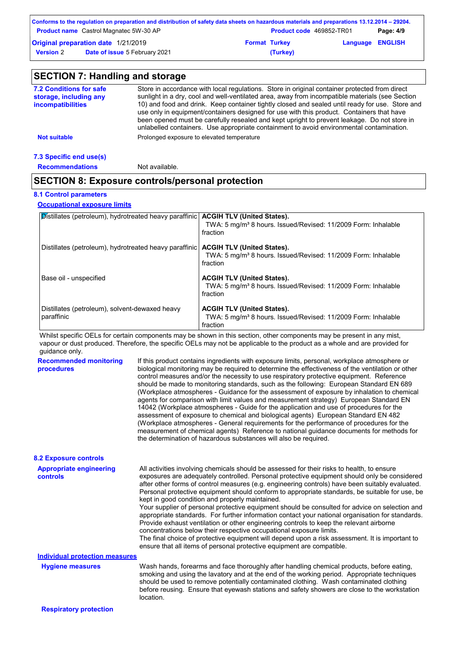|                  | Conforms to the regulation on preparation and distribution of safety data sheets on hazardous materials and preparations 13.12.2014 – 29204. |                      |                                 |                         |           |
|------------------|----------------------------------------------------------------------------------------------------------------------------------------------|----------------------|---------------------------------|-------------------------|-----------|
|                  | <b>Product name</b> Castrol Magnatec 5W-30 AP                                                                                                |                      | <b>Product code</b> 469852-TR01 |                         | Page: 4/9 |
|                  | Original preparation date 1/21/2019                                                                                                          | <b>Format Turkey</b> |                                 | <b>Language ENGLISH</b> |           |
| <b>Version 2</b> | <b>Date of issue 5 February 2021</b>                                                                                                         |                      | (Turkey)                        |                         |           |

| 7.2 Conditions for safe<br>storage, including any | Store in accordance with local regulations. Store in original container protected from direct<br>sunlight in a dry, cool and well-ventilated area, away from incompatible materials (see Section                                                                                                                                                                                        |
|---------------------------------------------------|-----------------------------------------------------------------------------------------------------------------------------------------------------------------------------------------------------------------------------------------------------------------------------------------------------------------------------------------------------------------------------------------|
| <i>incompatibilities</i>                          | 10) and food and drink. Keep container tightly closed and sealed until ready for use. Store and<br>use only in equipment/containers designed for use with this product. Containers that have<br>been opened must be carefully resealed and kept upright to prevent leakage. Do not store in<br>unlabelled containers. Use appropriate containment to avoid environmental contamination. |
| <b>Not suitable</b>                               | Prolonged exposure to elevated temperature                                                                                                                                                                                                                                                                                                                                              |

#### **7.3 Specific end use(s)**

**Recommendations** Not available.

## **SECTION 8: Exposure controls/personal protection**

#### **8.1 Control parameters**

**Occupational exposure limits**

| <b>Distillates (petroleum), hydrotreated heavy paraffinic</b> | <b>ACGIH TLV (United States).</b><br>TWA: 5 mg/m <sup>3</sup> 8 hours. Issued/Revised: 11/2009 Form: Inhalable<br>fraction |
|---------------------------------------------------------------|----------------------------------------------------------------------------------------------------------------------------|
| Distillates (petroleum), hydrotreated heavy paraffinic        | <b>ACGIH TLV (United States).</b><br>TWA: 5 mg/m <sup>3</sup> 8 hours. Issued/Revised: 11/2009 Form: Inhalable<br>fraction |
| Base oil - unspecified                                        | <b>ACGIH TLV (United States).</b><br>TWA: 5 mg/m <sup>3</sup> 8 hours. Issued/Revised: 11/2009 Form: Inhalable<br>fraction |
| Distillates (petroleum), solvent-dewaxed heavy<br>paraffinic  | <b>ACGIH TLV (United States).</b><br>TWA: 5 mg/m <sup>3</sup> 8 hours. Issued/Revised: 11/2009 Form: Inhalable<br>fraction |

Whilst specific OELs for certain components may be shown in this section, other components may be present in any mist, vapour or dust produced. Therefore, the specific OELs may not be applicable to the product as a whole and are provided for guidance only.

| <b>Recommended monitoring</b><br>procedures | If this product contains ingredients with exposure limits, personal, workplace atmosphere or<br>biological monitoring may be required to determine the effectiveness of the ventilation or other<br>control measures and/or the necessity to use respiratory protective equipment. Reference<br>should be made to monitoring standards, such as the following: European Standard EN 689<br>(Workplace atmospheres - Guidance for the assessment of exposure by inhalation to chemical<br>agents for comparison with limit values and measurement strategy) European Standard EN<br>14042 (Workplace atmospheres - Guide for the application and use of procedures for the<br>assessment of exposure to chemical and biological agents) European Standard EN 482<br>(Workplace atmospheres - General requirements for the performance of procedures for the<br>measurement of chemical agents) Reference to national guidance documents for methods for<br>the determination of hazardous substances will also be required. |
|---------------------------------------------|----------------------------------------------------------------------------------------------------------------------------------------------------------------------------------------------------------------------------------------------------------------------------------------------------------------------------------------------------------------------------------------------------------------------------------------------------------------------------------------------------------------------------------------------------------------------------------------------------------------------------------------------------------------------------------------------------------------------------------------------------------------------------------------------------------------------------------------------------------------------------------------------------------------------------------------------------------------------------------------------------------------------------|
| <b>8.2 Exposure controls</b>                |                                                                                                                                                                                                                                                                                                                                                                                                                                                                                                                                                                                                                                                                                                                                                                                                                                                                                                                                                                                                                            |
| <b>Appropriate engineering</b><br>controls  | All activities involving chemicals should be assessed for their risks to health, to ensure<br>exposures are adequately controlled. Personal protective equipment should only be considered<br>after other forms of control measures (e.g. engineering controls) have been suitably evaluated.<br>Personal protective equipment should conform to appropriate standards, be suitable for use, be<br>kept in good condition and properly maintained.<br>Your supplier of personal protective equipment should be consulted for advice on selection and<br>appropriate standards. For further information contact your national organisation for standards.<br>Provide exhaust ventilation or other engineering controls to keep the relevant airborne<br>concentrations below their respective occupational exposure limits.<br>The final choice of protective equipment will depend upon a risk assessment. It is important to<br>ensure that all items of personal protective equipment are compatible.                    |
| <b>Individual protection measures</b>       |                                                                                                                                                                                                                                                                                                                                                                                                                                                                                                                                                                                                                                                                                                                                                                                                                                                                                                                                                                                                                            |
| <b>Hygiene measures</b>                     | Wash hands, forearms and face thoroughly after handling chemical products, before eating,<br>smoking and using the lavatory and at the end of the working period. Appropriate techniques<br>should be used to remove potentially contaminated clothing. Wash contaminated clothing<br>before reusing. Ensure that eyewash stations and safety showers are close to the workstation<br>location.                                                                                                                                                                                                                                                                                                                                                                                                                                                                                                                                                                                                                            |

**Respiratory protection**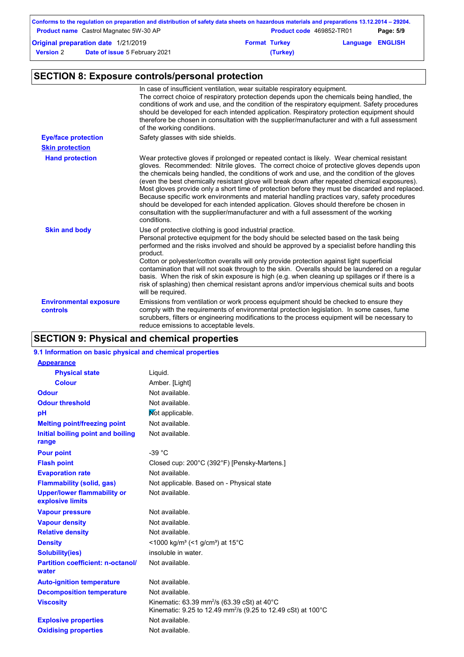|                      | Page: 5/9                                                                                                                                                                                                  |
|----------------------|------------------------------------------------------------------------------------------------------------------------------------------------------------------------------------------------------------|
| <b>Format Turkey</b> |                                                                                                                                                                                                            |
| (Turkey)             |                                                                                                                                                                                                            |
|                      | Conforms to the regulation on preparation and distribution of safety data sheets on hazardous materials and preparations 13.12.2014 – 29204.<br><b>Product code</b> 469852-TR01<br><b>Language ENGLISH</b> |

# **SECTION 8: Exposure controls/personal protection**

|                                           | In case of insufficient ventilation, wear suitable respiratory equipment.<br>The correct choice of respiratory protection depends upon the chemicals being handled, the<br>conditions of work and use, and the condition of the respiratory equipment. Safety procedures<br>should be developed for each intended application. Respiratory protection equipment should<br>therefore be chosen in consultation with the supplier/manufacturer and with a full assessment<br>of the working conditions.                                                                                                                                                                                                                                                                                        |
|-------------------------------------------|----------------------------------------------------------------------------------------------------------------------------------------------------------------------------------------------------------------------------------------------------------------------------------------------------------------------------------------------------------------------------------------------------------------------------------------------------------------------------------------------------------------------------------------------------------------------------------------------------------------------------------------------------------------------------------------------------------------------------------------------------------------------------------------------|
| <b>Eye/face protection</b>                | Safety glasses with side shields.                                                                                                                                                                                                                                                                                                                                                                                                                                                                                                                                                                                                                                                                                                                                                            |
| <b>Skin protection</b>                    |                                                                                                                                                                                                                                                                                                                                                                                                                                                                                                                                                                                                                                                                                                                                                                                              |
| <b>Hand protection</b>                    | Wear protective gloves if prolonged or repeated contact is likely. Wear chemical resistant<br>gloves. Recommended: Nitrile gloves. The correct choice of protective gloves depends upon<br>the chemicals being handled, the conditions of work and use, and the condition of the gloves<br>(even the best chemically resistant glove will break down after repeated chemical exposures).<br>Most gloves provide only a short time of protection before they must be discarded and replaced.<br>Because specific work environments and material handling practices vary, safety procedures<br>should be developed for each intended application. Gloves should therefore be chosen in<br>consultation with the supplier/manufacturer and with a full assessment of the working<br>conditions. |
| <b>Skin and body</b>                      | Use of protective clothing is good industrial practice.<br>Personal protective equipment for the body should be selected based on the task being<br>performed and the risks involved and should be approved by a specialist before handling this<br>product.<br>Cotton or polyester/cotton overalls will only provide protection against light superficial<br>contamination that will not soak through to the skin. Overalls should be laundered on a regular<br>basis. When the risk of skin exposure is high (e.g. when cleaning up spillages or if there is a<br>risk of splashing) then chemical resistant aprons and/or impervious chemical suits and boots<br>will be required.                                                                                                        |
| <b>Environmental exposure</b><br>controls | Emissions from ventilation or work process equipment should be checked to ensure they<br>comply with the requirements of environmental protection legislation. In some cases, fume<br>scrubbers, filters or engineering modifications to the process equipment will be necessary to<br>reduce emissions to acceptable levels.                                                                                                                                                                                                                                                                                                                                                                                                                                                                |

# **SECTION 9: Physical and chemical properties**

### **9.1 Information on basic physical and chemical properties**

| <b>Appearance</b>                                      |                                                                                                                                                |
|--------------------------------------------------------|------------------------------------------------------------------------------------------------------------------------------------------------|
| <b>Physical state</b>                                  | Liquid.                                                                                                                                        |
| <b>Colour</b>                                          | Amber. [Light]                                                                                                                                 |
| <b>Odour</b>                                           | Not available.                                                                                                                                 |
| <b>Odour threshold</b>                                 | Not available.                                                                                                                                 |
| рH                                                     | Mot applicable.                                                                                                                                |
| <b>Melting point/freezing point</b>                    | Not available.                                                                                                                                 |
| Initial boiling point and boiling<br>range             | Not available.                                                                                                                                 |
| <b>Pour point</b>                                      | $-39 °C$                                                                                                                                       |
| <b>Flash point</b>                                     | Closed cup: 200°C (392°F) [Pensky-Martens.]                                                                                                    |
| <b>Evaporation rate</b>                                | Not available.                                                                                                                                 |
| <b>Flammability (solid, gas)</b>                       | Not applicable. Based on - Physical state                                                                                                      |
| <b>Upper/lower flammability or</b><br>explosive limits | Not available.                                                                                                                                 |
| <b>Vapour pressure</b>                                 | Not available.                                                                                                                                 |
| <b>Vapour density</b>                                  | Not available.                                                                                                                                 |
| <b>Relative density</b>                                | Not available.                                                                                                                                 |
| <b>Density</b>                                         | <1000 kg/m <sup>3</sup> (<1 g/cm <sup>3</sup> ) at 15 <sup>°</sup> C                                                                           |
| <b>Solubility(ies)</b>                                 | insoluble in water.                                                                                                                            |
| <b>Partition coefficient: n-octanol/</b><br>water      | Not available.                                                                                                                                 |
| <b>Auto-ignition temperature</b>                       | Not available.                                                                                                                                 |
| <b>Decomposition temperature</b>                       | Not available.                                                                                                                                 |
| <b>Viscosity</b>                                       | Kinematic: 63.39 mm <sup>2</sup> /s (63.39 cSt) at $40^{\circ}$ C<br>Kinematic: 9.25 to 12.49 mm <sup>2</sup> /s (9.25 to 12.49 cSt) at 100 °C |
| <b>Explosive properties</b>                            | Not available.                                                                                                                                 |
| <b>Oxidising properties</b>                            | Not available.                                                                                                                                 |
|                                                        |                                                                                                                                                |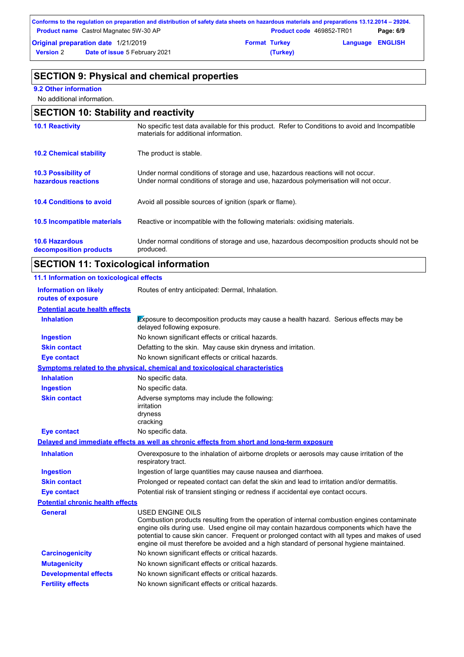|                                     | Conforms to the regulation on preparation and distribution of safety data sheets on hazardous materials and preparations 13.12.2014 – 29204. |                      |                                 |                         |           |
|-------------------------------------|----------------------------------------------------------------------------------------------------------------------------------------------|----------------------|---------------------------------|-------------------------|-----------|
|                                     | <b>Product name</b> Castrol Magnatec 5W-30 AP                                                                                                |                      | <b>Product code</b> 469852-TR01 |                         | Page: 6/9 |
| Original preparation date 1/21/2019 |                                                                                                                                              | <b>Format Turkey</b> |                                 | <b>Language ENGLISH</b> |           |
| <b>Version 2</b>                    | <b>Date of issue 5 February 2021</b>                                                                                                         |                      | (Turkey)                        |                         |           |

### **SECTION 9: Physical and chemical properties**

#### **9.2 Other information**

No additional information.

### **10.6 Hazardous decomposition products 10.4 Conditions to avoid** Avoid all possible sources of ignition (spark or flame). Under normal conditions of storage and use, hazardous decomposition products should not be produced. **10.2 Chemical stability** The product is stable. **10.5 Incompatible materials 10.3 Possibility of hazardous reactions** Under normal conditions of storage and use, hazardous reactions will not occur. Under normal conditions of storage and use, hazardous polymerisation will not occur. **SECTION 10: Stability and reactivity 10.1 Reactivity** No specific test data available for this product. Refer to Conditions to avoid and Incompatible materials for additional information. Reactive or incompatible with the following materials: oxidising materials.

### **SECTION 11: Toxicological information**

| 11.1 Information on toxicological effects          |                                                                                                                                                                                                                                                                                                                                                                                                                 |
|----------------------------------------------------|-----------------------------------------------------------------------------------------------------------------------------------------------------------------------------------------------------------------------------------------------------------------------------------------------------------------------------------------------------------------------------------------------------------------|
| <b>Information on likely</b><br>routes of exposure | Routes of entry anticipated: Dermal, Inhalation.                                                                                                                                                                                                                                                                                                                                                                |
| <b>Potential acute health effects</b>              |                                                                                                                                                                                                                                                                                                                                                                                                                 |
| <b>Inhalation</b>                                  | Exposure to decomposition products may cause a health hazard. Serious effects may be<br>delayed following exposure.                                                                                                                                                                                                                                                                                             |
| <b>Ingestion</b>                                   | No known significant effects or critical hazards.                                                                                                                                                                                                                                                                                                                                                               |
| <b>Skin contact</b>                                | Defatting to the skin. May cause skin dryness and irritation.                                                                                                                                                                                                                                                                                                                                                   |
| <b>Eye contact</b>                                 | No known significant effects or critical hazards.                                                                                                                                                                                                                                                                                                                                                               |
|                                                    | Symptoms related to the physical, chemical and toxicological characteristics                                                                                                                                                                                                                                                                                                                                    |
| <b>Inhalation</b>                                  | No specific data.                                                                                                                                                                                                                                                                                                                                                                                               |
| <b>Ingestion</b>                                   | No specific data.                                                                                                                                                                                                                                                                                                                                                                                               |
| <b>Skin contact</b>                                | Adverse symptoms may include the following:<br>irritation<br>dryness<br>cracking                                                                                                                                                                                                                                                                                                                                |
| <b>Eye contact</b>                                 | No specific data.                                                                                                                                                                                                                                                                                                                                                                                               |
|                                                    | Delayed and immediate effects as well as chronic effects from short and long-term exposure                                                                                                                                                                                                                                                                                                                      |
| <b>Inhalation</b>                                  | Overexposure to the inhalation of airborne droplets or aerosols may cause irritation of the<br>respiratory tract.                                                                                                                                                                                                                                                                                               |
| <b>Ingestion</b>                                   | Ingestion of large quantities may cause nausea and diarrhoea.                                                                                                                                                                                                                                                                                                                                                   |
| <b>Skin contact</b>                                | Prolonged or repeated contact can defat the skin and lead to irritation and/or dermatitis.                                                                                                                                                                                                                                                                                                                      |
| <b>Eye contact</b>                                 | Potential risk of transient stinging or redness if accidental eye contact occurs.                                                                                                                                                                                                                                                                                                                               |
| <b>Potential chronic health effects</b>            |                                                                                                                                                                                                                                                                                                                                                                                                                 |
| <b>General</b>                                     | <b>USED ENGINE OILS</b><br>Combustion products resulting from the operation of internal combustion engines contaminate<br>engine oils during use. Used engine oil may contain hazardous components which have the<br>potential to cause skin cancer. Frequent or prolonged contact with all types and makes of used<br>engine oil must therefore be avoided and a high standard of personal hygiene maintained. |
| <b>Carcinogenicity</b>                             | No known significant effects or critical hazards.                                                                                                                                                                                                                                                                                                                                                               |
| <b>Mutagenicity</b>                                | No known significant effects or critical hazards.                                                                                                                                                                                                                                                                                                                                                               |
| <b>Developmental effects</b>                       | No known significant effects or critical hazards.                                                                                                                                                                                                                                                                                                                                                               |
| <b>Fertility effects</b>                           | No known significant effects or critical hazards.                                                                                                                                                                                                                                                                                                                                                               |
|                                                    |                                                                                                                                                                                                                                                                                                                                                                                                                 |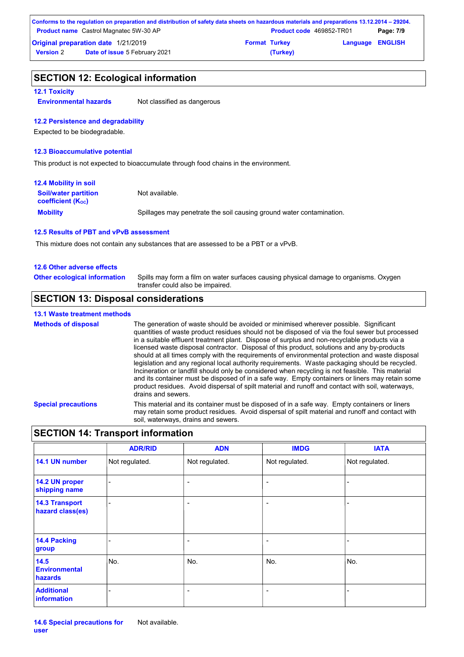|                                     | Conforms to the regulation on preparation and distribution of safety data sheets on hazardous materials and preparations 13.12.2014 – 29204. |                      |                                 |                         |           |
|-------------------------------------|----------------------------------------------------------------------------------------------------------------------------------------------|----------------------|---------------------------------|-------------------------|-----------|
|                                     | <b>Product name</b> Castrol Magnatec 5W-30 AP                                                                                                |                      | <b>Product code</b> 469852-TR01 |                         | Page: 7/9 |
| Original preparation date 1/21/2019 |                                                                                                                                              | <b>Format Turkey</b> |                                 | <b>Language ENGLISH</b> |           |
| <b>Version 2</b>                    | <b>Date of issue 5 February 2021</b>                                                                                                         |                      | (Turkey)                        |                         |           |

# **SECTION 12: Ecological information**

#### **12.1 Toxicity**

**Environmental hazards** Not classified as dangerous

#### **12.2 Persistence and degradability**

Expected to be biodegradable.

#### **12.3 Bioaccumulative potential**

This product is not expected to bioaccumulate through food chains in the environment.

| <b>12.4 Mobility in soil</b>                                  |                                                                      |
|---------------------------------------------------------------|----------------------------------------------------------------------|
| <b>Soil/water partition</b><br>coefficient (K <sub>oc</sub> ) | Not available.                                                       |
| <b>Mobility</b>                                               | Spillages may penetrate the soil causing ground water contamination. |

#### **12.5 Results of PBT and vPvB assessment**

This mixture does not contain any substances that are assessed to be a PBT or a vPvB.

#### **12.6 Other adverse effects**

| <b>Other ecological information</b> | Spills may form a film on water surfaces causing physical damage to organisms. Oxygen |
|-------------------------------------|---------------------------------------------------------------------------------------|
|                                     | transfer could also be impaired.                                                      |

# **SECTION 13: Disposal considerations**

### **13.1 Waste treatment methods**

| <b>Methods of disposal</b> | The generation of waste should be avoided or minimised wherever possible. Significant<br>quantities of waste product residues should not be disposed of via the foul sewer but processed<br>in a suitable effluent treatment plant. Dispose of surplus and non-recyclable products via a<br>licensed waste disposal contractor. Disposal of this product, solutions and any by-products<br>should at all times comply with the requirements of environmental protection and waste disposal<br>legislation and any regional local authority requirements. Waste packaging should be recycled.<br>Incineration or landfill should only be considered when recycling is not feasible. This material<br>and its container must be disposed of in a safe way. Empty containers or liners may retain some<br>product residues. Avoid dispersal of spilt material and runoff and contact with soil, waterways,<br>drains and sewers. |
|----------------------------|-------------------------------------------------------------------------------------------------------------------------------------------------------------------------------------------------------------------------------------------------------------------------------------------------------------------------------------------------------------------------------------------------------------------------------------------------------------------------------------------------------------------------------------------------------------------------------------------------------------------------------------------------------------------------------------------------------------------------------------------------------------------------------------------------------------------------------------------------------------------------------------------------------------------------------|
| <b>Special precautions</b> | This material and its container must be disposed of in a safe way. Empty containers or liners<br>may retain some product residues. Avoid dispersal of spilt material and runoff and contact with<br>soil, waterways, drains and sewers.                                                                                                                                                                                                                                                                                                                                                                                                                                                                                                                                                                                                                                                                                       |

### **SECTION 14: Transport information**

|                                                | <b>ADR/RID</b> | <b>ADN</b>               | <b>IMDG</b>              | <b>IATA</b>    |
|------------------------------------------------|----------------|--------------------------|--------------------------|----------------|
| 14.1 UN number                                 | Not regulated. | Not regulated.           | Not regulated.           | Not regulated. |
| 14.2 UN proper<br>shipping name                |                | $\overline{\phantom{0}}$ | $\overline{\phantom{a}}$ | ۰              |
| <b>14.3 Transport</b><br>hazard class(es)      |                | $\overline{\phantom{0}}$ | $\overline{\phantom{0}}$ |                |
| 14.4 Packing<br>group                          |                | -                        | ÷                        |                |
| 14.5<br><b>Environmental</b><br><b>hazards</b> | No.            | No.                      | No.                      | No.            |
| <b>Additional</b><br>information               | -              | $\overline{\phantom{0}}$ | $\overline{\phantom{0}}$ | ۰              |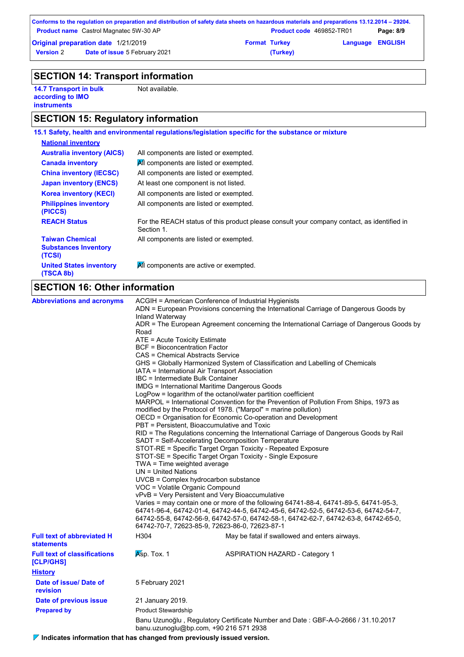|                                            | Conforms to the regulation on preparation and distribution of safety data sheets on hazardous materials and preparations 13.12.2014 – 29204. |                      |                                 |                         |           |
|--------------------------------------------|----------------------------------------------------------------------------------------------------------------------------------------------|----------------------|---------------------------------|-------------------------|-----------|
|                                            | <b>Product name</b> Castrol Magnatec 5W-30 AP                                                                                                |                      | <b>Product code</b> 469852-TR01 |                         | Page: 8/9 |
| <b>Original preparation date 1/21/2019</b> |                                                                                                                                              | <b>Format Turkey</b> |                                 | <b>Language ENGLISH</b> |           |
| <b>Version 2</b>                           | <b>Date of issue 5 February 2021</b>                                                                                                         |                      | (Turkey)                        |                         |           |

# **SECTION 14: Transport information**

**14.7 Transport in bulk according to IMO instruments**

Not available.

# **SECTION 15: Regulatory information**

|                                                                 | 15.1 Safety, health and environmental regulations/legislation specific for the substance or mixture      |
|-----------------------------------------------------------------|----------------------------------------------------------------------------------------------------------|
| <b>National inventory</b>                                       |                                                                                                          |
| <b>Australia inventory (AICS)</b>                               | All components are listed or exempted.                                                                   |
| <b>Canada inventory</b>                                         | All components are listed or exempted.                                                                   |
| <b>China inventory (IECSC)</b>                                  | All components are listed or exempted.                                                                   |
| <b>Japan inventory (ENCS)</b>                                   | At least one component is not listed.                                                                    |
| <b>Korea inventory (KECI)</b>                                   | All components are listed or exempted.                                                                   |
| <b>Philippines inventory</b><br>(PICCS)                         | All components are listed or exempted.                                                                   |
| <b>REACH Status</b>                                             | For the REACH status of this product please consult your company contact, as identified in<br>Section 1. |
| <b>Taiwan Chemical</b><br><b>Substances Inventory</b><br>(TCSI) | All components are listed or exempted.                                                                   |
| <b>United States inventory</b><br>(TSCA 8b)                     | All components are active or exempted.                                                                   |

# **SECTION 16: Other information**

| <b>Abbreviations and acronyms</b>                      | Inland Waterway<br>Road<br>ATE = Acute Toxicity Estimate<br><b>BCF</b> = Bioconcentration Factor<br>CAS = Chemical Abstracts Service<br>IBC = Intermediate Bulk Container<br>TWA = Time weighted average<br>UN = United Nations<br>VOC = Volatile Organic Compound | ACGIH = American Conference of Industrial Hygienists<br>ADN = European Provisions concerning the International Carriage of Dangerous Goods by<br>ADR = The European Agreement concerning the International Carriage of Dangerous Goods by<br>GHS = Globally Harmonized System of Classification and Labelling of Chemicals<br>IATA = International Air Transport Association<br><b>IMDG = International Maritime Dangerous Goods</b><br>LogPow = logarithm of the octanol/water partition coefficient<br>MARPOL = International Convention for the Prevention of Pollution From Ships, 1973 as<br>modified by the Protocol of 1978. ("Marpol" = marine pollution)<br>OECD = Organisation for Economic Co-operation and Development<br>PBT = Persistent, Bioaccumulative and Toxic<br>RID = The Regulations concerning the International Carriage of Dangerous Goods by Rail<br>SADT = Self-Accelerating Decomposition Temperature<br>STOT-RE = Specific Target Organ Toxicity - Repeated Exposure<br>STOT-SE = Specific Target Organ Toxicity - Single Exposure<br>$UVCB = Complex\;hydrocarbon\; substance$<br>vPvB = Very Persistent and Very Bioaccumulative<br>Varies = may contain one or more of the following 64741-88-4, 64741-89-5, 64741-95-3,<br>64741-96-4, 64742-01-4, 64742-44-5, 64742-45-6, 64742-52-5, 64742-53-6, 64742-54-7,<br>64742-55-8, 64742-56-9, 64742-57-0, 64742-58-1, 64742-62-7, 64742-63-8, 64742-65-0,<br>64742-70-7, 72623-85-9, 72623-86-0, 72623-87-1 |
|--------------------------------------------------------|--------------------------------------------------------------------------------------------------------------------------------------------------------------------------------------------------------------------------------------------------------------------|------------------------------------------------------------------------------------------------------------------------------------------------------------------------------------------------------------------------------------------------------------------------------------------------------------------------------------------------------------------------------------------------------------------------------------------------------------------------------------------------------------------------------------------------------------------------------------------------------------------------------------------------------------------------------------------------------------------------------------------------------------------------------------------------------------------------------------------------------------------------------------------------------------------------------------------------------------------------------------------------------------------------------------------------------------------------------------------------------------------------------------------------------------------------------------------------------------------------------------------------------------------------------------------------------------------------------------------------------------------------------------------------------------------------------------------------------------------------------------------|
| <b>Full text of abbreviated H</b><br><b>statements</b> | H304                                                                                                                                                                                                                                                               | May be fatal if swallowed and enters airways.                                                                                                                                                                                                                                                                                                                                                                                                                                                                                                                                                                                                                                                                                                                                                                                                                                                                                                                                                                                                                                                                                                                                                                                                                                                                                                                                                                                                                                            |
| <b>Full text of classifications</b><br>[CLP/GHS]       | Asp. Tox. 1                                                                                                                                                                                                                                                        | <b>ASPIRATION HAZARD - Category 1</b>                                                                                                                                                                                                                                                                                                                                                                                                                                                                                                                                                                                                                                                                                                                                                                                                                                                                                                                                                                                                                                                                                                                                                                                                                                                                                                                                                                                                                                                    |
| <b>History</b>                                         |                                                                                                                                                                                                                                                                    |                                                                                                                                                                                                                                                                                                                                                                                                                                                                                                                                                                                                                                                                                                                                                                                                                                                                                                                                                                                                                                                                                                                                                                                                                                                                                                                                                                                                                                                                                          |
| Date of issue/ Date of<br>revision                     | 5 February 2021                                                                                                                                                                                                                                                    |                                                                                                                                                                                                                                                                                                                                                                                                                                                                                                                                                                                                                                                                                                                                                                                                                                                                                                                                                                                                                                                                                                                                                                                                                                                                                                                                                                                                                                                                                          |
| Date of previous issue                                 | 21 January 2019.                                                                                                                                                                                                                                                   |                                                                                                                                                                                                                                                                                                                                                                                                                                                                                                                                                                                                                                                                                                                                                                                                                                                                                                                                                                                                                                                                                                                                                                                                                                                                                                                                                                                                                                                                                          |
| <b>Prepared by</b>                                     | <b>Product Stewardship</b>                                                                                                                                                                                                                                         |                                                                                                                                                                                                                                                                                                                                                                                                                                                                                                                                                                                                                                                                                                                                                                                                                                                                                                                                                                                                                                                                                                                                                                                                                                                                                                                                                                                                                                                                                          |
|                                                        |                                                                                                                                                                                                                                                                    | Banu Uzunoğlu, Regulatory Certificate Number and Date: GBF-A-0-2666 / 31.10.2017<br>banu.uzunoglu@bp.com, +90 216 571 2938                                                                                                                                                                                                                                                                                                                                                                                                                                                                                                                                                                                                                                                                                                                                                                                                                                                                                                                                                                                                                                                                                                                                                                                                                                                                                                                                                               |

**Indicates information that has changed from previously issued version.**